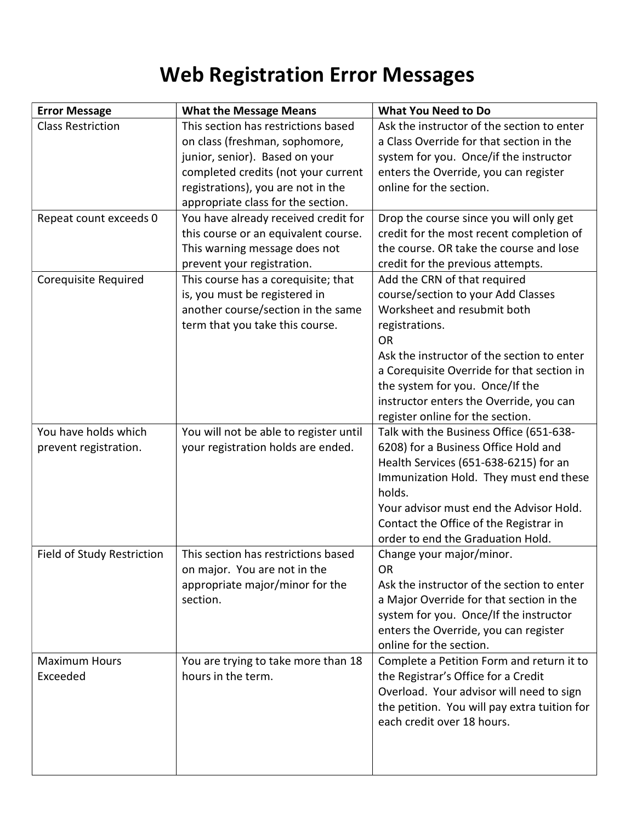## Web Registration Error Messages

| <b>Error Message</b>       | <b>What the Message Means</b>          | <b>What You Need to Do</b>                       |
|----------------------------|----------------------------------------|--------------------------------------------------|
| <b>Class Restriction</b>   | This section has restrictions based    | Ask the instructor of the section to enter       |
|                            | on class (freshman, sophomore,         | a Class Override for that section in the         |
|                            | junior, senior). Based on your         | system for you. Once/if the instructor           |
|                            | completed credits (not your current    | enters the Override, you can register            |
|                            | registrations), you are not in the     | online for the section.                          |
|                            | appropriate class for the section.     |                                                  |
| Repeat count exceeds 0     | You have already received credit for   | Drop the course since you will only get          |
|                            | this course or an equivalent course.   | credit for the most recent completion of         |
|                            | This warning message does not          | the course. OR take the course and lose          |
|                            | prevent your registration.             | credit for the previous attempts.                |
| Corequisite Required       | This course has a corequisite; that    | Add the CRN of that required                     |
|                            | is, you must be registered in          | course/section to your Add Classes               |
|                            | another course/section in the same     | Worksheet and resubmit both                      |
|                            | term that you take this course.        | registrations.                                   |
|                            |                                        | <b>OR</b>                                        |
|                            |                                        | Ask the instructor of the section to enter       |
|                            |                                        | a Corequisite Override for that section in       |
|                            |                                        | the system for you. Once/If the                  |
|                            |                                        | instructor enters the Override, you can          |
|                            |                                        | register online for the section.                 |
| You have holds which       | You will not be able to register until | Talk with the Business Office (651-638-          |
| prevent registration.      | your registration holds are ended.     | 6208) for a Business Office Hold and             |
|                            |                                        | Health Services (651-638-6215) for an            |
|                            |                                        | Immunization Hold. They must end these<br>holds. |
|                            |                                        | Your advisor must end the Advisor Hold.          |
|                            |                                        | Contact the Office of the Registrar in           |
|                            |                                        | order to end the Graduation Hold.                |
| Field of Study Restriction | This section has restrictions based    | Change your major/minor.                         |
|                            | on major. You are not in the           | 0R                                               |
|                            | appropriate major/minor for the        | Ask the instructor of the section to enter       |
|                            | section.                               | a Major Override for that section in the         |
|                            |                                        | system for you. Once/If the instructor           |
|                            |                                        | enters the Override, you can register            |
|                            |                                        | online for the section.                          |
| <b>Maximum Hours</b>       | You are trying to take more than 18    | Complete a Petition Form and return it to        |
| Exceeded                   | hours in the term.                     | the Registrar's Office for a Credit              |
|                            |                                        | Overload. Your advisor will need to sign         |
|                            |                                        | the petition. You will pay extra tuition for     |
|                            |                                        | each credit over 18 hours.                       |
|                            |                                        |                                                  |
|                            |                                        |                                                  |
|                            |                                        |                                                  |